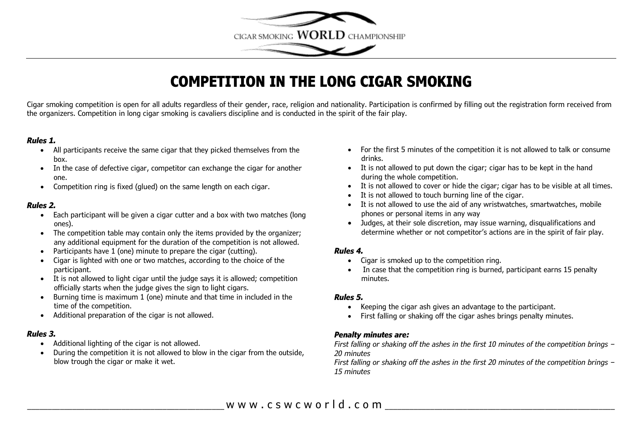

# **COMPETITION IN THE LONG CIGAR SMOKING**

Cigar smoking competition is open for all adults regardless of their gender, race, religion and nationality. Participation is confirmed by filling out the registration form received from the organizers. Competition in long cigar smoking is cavaliers discipline and is conducted in the spirit of the fair play.

#### *Rules 1.*

- All participants receive the same cigar that they picked themselves from the box.
- In the case of defective cigar, competitor can exchange the cigar for another one.
- Competition ring is fixed (glued) on the same length on each cigar.

#### *Rules 2.*

- Each participant will be given a cigar cutter and a box with two matches (long ones).
- The competition table may contain only the items provided by the organizer; any additional equipment for the duration of the competition is not allowed.
- Participants have 1 (one) minute to prepare the cigar (cutting).
- Cigar is lighted with one or two matches, according to the choice of the participant.
- It is not allowed to light cigar until the judge says it is allowed; competition officially starts when the judge gives the sign to light cigars.
- Burning time is maximum 1 (one) minute and that time in included in the time of the competition.
- Additional preparation of the cigar is not allowed.

#### *Rules 3.*

- Additional lighting of the cigar is not allowed.
- During the competition it is not allowed to blow in the cigar from the outside, blow trough the cigar or make it wet.
- For the first 5 minutes of the competition it is not allowed to talk or consume drinks.
- It is not allowed to put down the cigar; cigar has to be kept in the hand during the whole competition.
- It is not allowed to cover or hide the cigar; cigar has to be visible at all times.
- It is not allowed to touch burning line of the cigar.
- It is not allowed to use the aid of any wristwatches, smartwatches, mobile phones or personal items in any way
- Judges, at their sole discretion, may issue warning, disqualifications and determine whether or not competitor's actions are in the spirit of fair play.

### *Rules 4.*

- Cigar is smoked up to the competition ring.
- In case that the competition ring is burned, participant earns 15 penalty minutes.

### *Rules 5.*

- Keeping the cigar ash gives an advantage to the participant.
- First falling or shaking off the cigar ashes brings penalty minutes.

### *Penalty minutes are:*

*First falling or shaking off the ashes in the first 10 minutes of the competition brings – 20 minutes*

*First falling or shaking off the ashes in the first 20 minutes of the competition brings – 15 minutes*